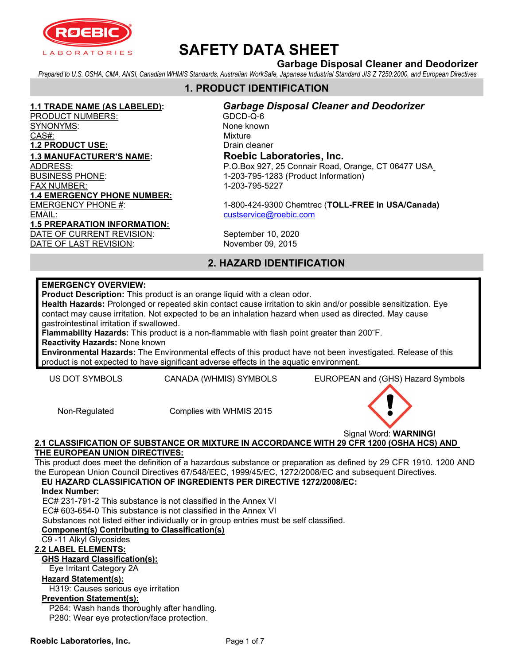

## Garbage Disposal Cleaner and Deodorizer

Prepared to U.S. OSHA, CMA, ANSI, Canadian WHMIS Standards, Australian WorkSafe, Japanese Industrial Standard JIS Z 7250:2000, and European Directives

## 1. PRODUCT IDENTIFICATION

PRODUCT NUMBERS: GDCD-Q-6 SYNONYMS: None known CAS#: Wixture 1.2 PRODUCT USE: Drain cleaner 1.3 MANUFACTURER'S NAME: Roebic Laboratories, Inc. FAX NUMBER: 1-203-795-5227 1.4 EMERGENCY PHONE NUMBER: EMAIL: custservice@roebic.com 1.5 PREPARATION INFORMATION: DATE OF CURRENT REVISION: September 10, 2020 DATE OF LAST REVISION: November 09, 2015

1.1 TRADE NAME (AS LABELED): Garbage Disposal Cleaner and Deodorizer ADDRESS: P.O.Box 927, 25 Connair Road, Orange, CT 06477 USA 1-203-795-1283 (Product Information)

EMERGENCY PHONE #: 1-800-424-9300 Chemtrec (TOLL-FREE in USA/Canada)

## 2. HAZARD IDENTIFICATION

#### EMERGENCY OVERVIEW:

Product Description: This product is an orange liquid with a clean odor.

Health Hazards: Prolonged or repeated skin contact cause irritation to skin and/or possible sensitization. Eye contact may cause irritation. Not expected to be an inhalation hazard when used as directed. May cause gastrointestinal irritation if swallowed.

Flammability Hazards: This product is a non-flammable with flash point greater than 200˜F.

Reactivity Hazards: None known

Environmental Hazards: The Environmental effects of this product have not been investigated. Release of this product is not expected to have significant adverse effects in the aquatic environment.

US DOT SYMBOLS CANADA (WHMIS) SYMBOLS EUROPEAN and (GHS) Hazard Symbols

Non-Regulated Complies with WHMIS 2015

Signal Word: WARNING!

#### 2.1 CLASSIFICATION OF SUBSTANCE OR MIXTURE IN ACCORDANCE WITH 29 CFR 1200 (OSHA HCS) AND THE EUROPEAN UNION DIRECTIVES:

This product does meet the definition of a hazardous substance or preparation as defined by 29 CFR 1910. 1200 AND the European Union Council Directives 67/548/EEC, 1999/45/EC, 1272/2008/EC and subsequent Directives.

EU HAZARD CLASSIFICATION OF INGREDIENTS PER DIRECTIVE 1272/2008/EC: Index Number:

EC# 231-791-2 This substance is not classified in the Annex VI

EC# 603-654-0 This substance is not classified in the Annex VI

Substances not listed either individually or in group entries must be self classified.

### Component(s) Contributing to Classification(s)

## C9 -11 Alkyl Glycosides

## 2.2 LABEL ELEMENTS:

## GHS Hazard Classification(s):

Eye Irritant Category 2A

## Hazard Statement(s):

H319: Causes serious eye irritation

#### Prevention Statement(s):

P264: Wash hands thoroughly after handling.

P280: Wear eye protection/face protection.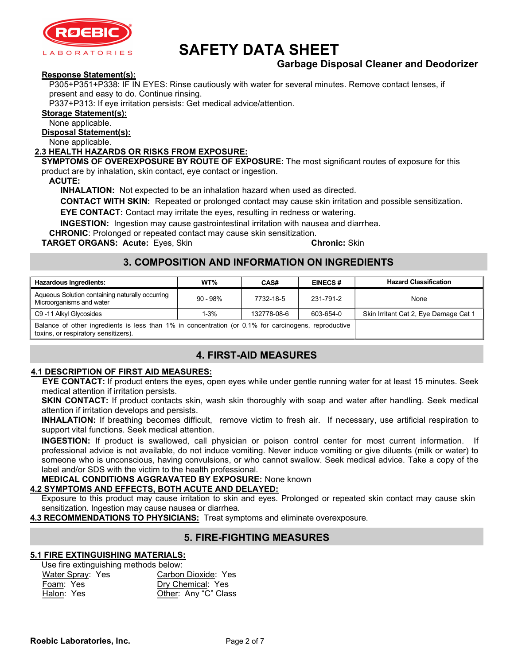

## Garbage Disposal Cleaner and Deodorizer

#### Response Statement(s):

P305+P351+P338: IF IN EYES: Rinse cautiously with water for several minutes. Remove contact lenses, if present and easy to do. Continue rinsing.

P337+P313: If eye irritation persists: Get medical advice/attention.

#### Storage Statement(s):

None applicable.

Disposal Statement(s):

None applicable.

### 2.3 HEALTH HAZARDS OR RISKS FROM EXPOSURE:

SYMPTOMS OF OVEREXPOSURE BY ROUTE OF EXPOSURE: The most significant routes of exposure for this product are by inhalation, skin contact, eye contact or ingestion.

ACUTE:

INHALATION: Not expected to be an inhalation hazard when used as directed.

CONTACT WITH SKIN: Repeated or prolonged contact may cause skin irritation and possible sensitization.

EYE CONTACT: Contact may irritate the eyes, resulting in redness or watering.

INGESTION: Ingestion may cause gastrointestinal irritation with nausea and diarrhea.

CHRONIC: Prolonged or repeated contact may cause skin sensitization.

TARGET ORGANS: Acute: Eyes, Skin Chronic: Skin Chronic: Skin

## 3. COMPOSITION AND INFORMATION ON INGREDIENTS

| <b>Hazardous Ingredients:</b>                                                                                                                | WT%         | CAS#        | <b>EINECS#</b> | <b>Hazard Classification</b>          |
|----------------------------------------------------------------------------------------------------------------------------------------------|-------------|-------------|----------------|---------------------------------------|
| Aqueous Solution containing naturally occurring<br>Microorganisms and water                                                                  | $90 - 98\%$ | 7732-18-5   | 231-791-2      | None                                  |
| C9 -11 Alkyl Glycosides                                                                                                                      | $1 - 3%$    | 132778-08-6 | 603-654-0      | Skin Irritant Cat 2, Eye Damage Cat 1 |
| Balance of other ingredients is less than 1% in concentration (or 0.1% for carcinogens, reproductive<br>toxins, or respiratory sensitizers). |             |             |                |                                       |

## 4. FIRST-AID MEASURES

#### 4.1 DESCRIPTION OF FIRST AID MEASURES:

EYE CONTACT: If product enters the eyes, open eyes while under gentle running water for at least 15 minutes. Seek medical attention if irritation persists.

SKIN CONTACT: If product contacts skin, wash skin thoroughly with soap and water after handling. Seek medical attention if irritation develops and persists.

INHALATION: If breathing becomes difficult, remove victim to fresh air. If necessary, use artificial respiration to support vital functions. Seek medical attention.

INGESTION: If product is swallowed, call physician or poison control center for most current information. If professional advice is not available, do not induce vomiting. Never induce vomiting or give diluents (milk or water) to someone who is unconscious, having convulsions, or who cannot swallow. Seek medical advice. Take a copy of the label and/or SDS with the victim to the health professional.

MEDICAL CONDITIONS AGGRAVATED BY EXPOSURE: None known

### 4.2 SYMPTOMS AND EFFECTS, BOTH ACUTE AND DELAYED:

Exposure to this product may cause irritation to skin and eyes. Prolonged or repeated skin contact may cause skin sensitization. Ingestion may cause nausea or diarrhea.

4.3 RECOMMENDATIONS TO PHYSICIANS: Treat symptoms and eliminate overexposure.

## 5. FIRE-FIGHTING MEASURES

#### 5.1 FIRE EXTINGUISHING MATERIALS:

Use fire extinguishing methods below:

| Water Spray: Yes | Carbon Dioxide: Yes  |  |
|------------------|----------------------|--|
| Foam: Yes        | Dry Chemical: Yes    |  |
| Halon: Yes       | Other: Any "C" Class |  |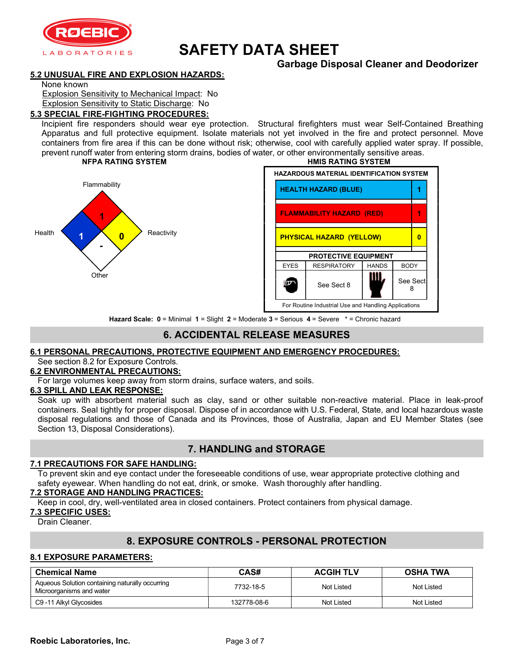

## Garbage Disposal Cleaner and Deodorizer

#### 5.2 UNUSUAL FIRE AND EXPLOSION HAZARDS:

None known

Explosion Sensitivity to Mechanical Impact: No

Explosion Sensitivity to Static Discharge: No

#### 5.3 SPECIAL FIRE-FIGHTING PROCEDURES:

Incipient fire responders should wear eye protection. Structural firefighters must wear Self-Contained Breathing Apparatus and full protective equipment. Isolate materials not yet involved in the fire and protect personnel. Move containers from fire area if this can be done without risk; otherwise, cool with carefully applied water spray. If possible, prevent runoff water from entering storm drains, bodies of water, or other environmentally sensitive areas.<br> **NEPA RATING SYSTEM** 





Hazard Scale: 0 = Minimal 1 = Slight 2 = Moderate 3 = Serious 4 = Severe \* = Chronic hazard

## 6. ACCIDENTAL RELEASE MEASURES

#### 6.1 PERSONAL PRECAUTIONS, PROTECTIVE EQUIPMENT AND EMERGENCY PROCEDURES: See section 8.2 for Exposure Controls.

#### 6.2 ENVIRONMENTAL PRECAUTIONS:

For large volumes keep away from storm drains, surface waters, and soils.

#### 6.3 SPILL AND LEAK RESPONSE:

Soak up with absorbent material such as clay, sand or other suitable non-reactive material. Place in leak-proof containers. Seal tightly for proper disposal. Dispose of in accordance with U.S. Federal, State, and local hazardous waste disposal regulations and those of Canada and its Provinces, those of Australia, Japan and EU Member States (see Section 13, Disposal Considerations).

## 7. HANDLING and STORAGE

#### 7.1 PRECAUTIONS FOR SAFE HANDLING:

To prevent skin and eye contact under the foreseeable conditions of use, wear appropriate protective clothing and safety eyewear. When handling do not eat, drink, or smoke. Wash thoroughly after handling.

#### 7.2 STORAGE AND HANDLING PRACTICES:

Keep in cool, dry, well-ventilated area in closed containers. Protect containers from physical damage.

#### 7.3 SPECIFIC USES:

Drain Cleaner.

## 8. EXPOSURE CONTROLS - PERSONAL PROTECTION

#### 8.1 EXPOSURE PARAMETERS:

| <b>Chemical Name</b>                                                        | CAS#        | <b>ACGIH TLV</b> | <b>OSHA TWA</b> |
|-----------------------------------------------------------------------------|-------------|------------------|-----------------|
| Aqueous Solution containing naturally occurring<br>Microorganisms and water | 7732-18-5   | Not Listed       | Not Listed      |
| C9 -11 Alkyl Glycosides                                                     | 132778-08-6 | Not Listed       | Not Listed      |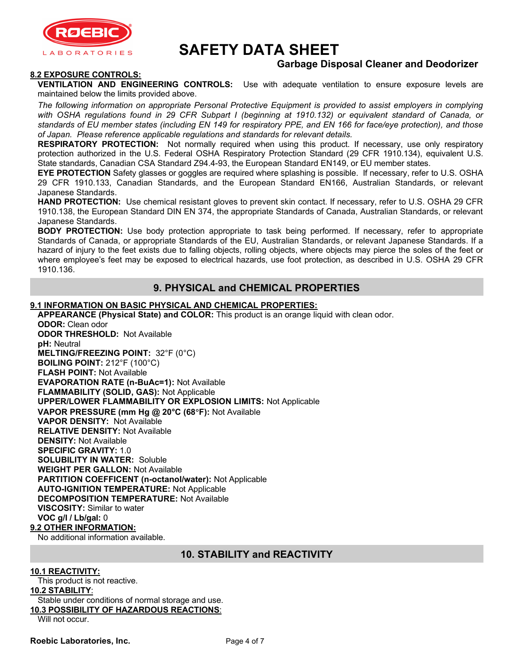

## Garbage Disposal Cleaner and Deodorizer

#### 8.2 EXPOSURE CONTROLS:

VENTILATION AND ENGINEERING CONTROLS: Use with adequate ventilation to ensure exposure levels are maintained below the limits provided above.

The following information on appropriate Personal Protective Equipment is provided to assist employers in complying with OSHA regulations found in 29 CFR Subpart I (beginning at 1910.132) or equivalent standard of Canada, or standards of EU member states (including EN 149 for respiratory PPE, and EN 166 for face/eye protection), and those of Japan. Please reference applicable regulations and standards for relevant details.

RESPIRATORY PROTECTION: Not normally required when using this product. If necessary, use only respiratory protection authorized in the U.S. Federal OSHA Respiratory Protection Standard (29 CFR 1910.134), equivalent U.S. State standards, Canadian CSA Standard Z94.4-93, the European Standard EN149, or EU member states.

EYE PROTECTION Safety glasses or goggles are required where splashing is possible. If necessary, refer to U.S. OSHA 29 CFR 1910.133, Canadian Standards, and the European Standard EN166, Australian Standards, or relevant Japanese Standards.

HAND PROTECTION: Use chemical resistant gloves to prevent skin contact. If necessary, refer to U.S. OSHA 29 CFR 1910.138, the European Standard DIN EN 374, the appropriate Standards of Canada, Australian Standards, or relevant Japanese Standards.

**BODY PROTECTION:** Use body protection appropriate to task being performed. If necessary, refer to appropriate Standards of Canada, or appropriate Standards of the EU, Australian Standards, or relevant Japanese Standards. If a hazard of injury to the feet exists due to falling objects, rolling objects, where objects may pierce the soles of the feet or where employee's feet may be exposed to electrical hazards, use foot protection, as described in U.S. OSHA 29 CFR 1910.136.

## 9. PHYSICAL and CHEMICAL PROPERTIES

#### 9.1 INFORMATION ON BASIC PHYSICAL AND CHEMICAL PROPERTIES:

APPEARANCE (Physical State) and COLOR: This product is an orange liquid with clean odor.

ODOR: Clean odor ODOR THRESHOLD: Not Available pH: Neutral MELTING/FREEZING POINT: 32°F (0°C) BOILING POINT: 212°F (100°C) FLASH POINT: Not Available EVAPORATION RATE (n-BuAc=1): Not Available FLAMMABILITY (SOLID, GAS): Not Applicable UPPER/LOWER FLAMMABILITY OR EXPLOSION LIMITS: Not Applicable VAPOR PRESSURE (mm Hg @ 20°C (68°F): Not Available VAPOR DENSITY: Not Available RELATIVE DENSITY: Not Available DENSITY: Not Available SPECIFIC GRAVITY: 1.0 SOLUBILITY IN WATER: Soluble WEIGHT PER GALLON: Not Available PARTITION COEFFICENT (n-octanol/water): Not Applicable AUTO-IGNITION TEMPERATURE: Not Applicable DECOMPOSITION TEMPERATURE: Not Available VISCOSITY: Similar to water VOC g/l / Lb/gal: 0 9.2 OTHER INFORMATION:

No additional information available.

## 10. STABILITY and REACTIVITY

#### 10.1 REACTIVITY:

This product is not reactive.

#### 10.2 STABILITY:

Stable under conditions of normal storage and use. 10.3 POSSIBILITY OF HAZARDOUS REACTIONS:

Will not occur.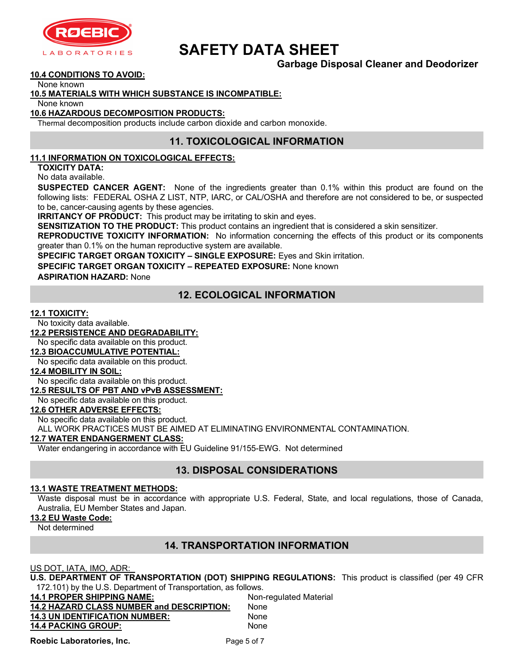

## Garbage Disposal Cleaner and Deodorizer

#### 10.4 CONDITIONS TO AVOID:

None known

#### 10.5 MATERIALS WITH WHICH SUBSTANCE IS INCOMPATIBLE:

None known

#### 10.6 HAZARDOUS DECOMPOSITION PRODUCTS:

Thermal decomposition products include carbon dioxide and carbon monoxide.

### 11. TOXICOLOGICAL INFORMATION

#### 11.1 INFORMATION ON TOXICOLOGICAL EFFECTS:

TOXICITY DATA: No data available.

**SUSPECTED CANCER AGENT:** None of the ingredients greater than 0.1% within this product are found on the following lists: FEDERAL OSHA Z LIST, NTP, IARC, or CAL/OSHA and therefore are not considered to be, or suspected to be, cancer-causing agents by these agencies.

**IRRITANCY OF PRODUCT:** This product may be irritating to skin and eyes.

SENSITIZATION TO THE PRODUCT: This product contains an ingredient that is considered a skin sensitizer.

REPRODUCTIVE TOXICITY INFORMATION: No information concerning the effects of this product or its components greater than 0.1% on the human reproductive system are available.

SPECIFIC TARGET ORGAN TOXICITY – SINGLE EXPOSURE: Eyes and Skin irritation.

SPECIFIC TARGET ORGAN TOXICITY – REPEATED EXPOSURE: None known

ASPIRATION HAZARD: None

## 12. ECOLOGICAL INFORMATION

#### 12.1 TOXICITY:

No toxicity data available.

12.2 PERSISTENCE AND DEGRADABILITY:

#### No specific data available on this product.

#### 12.3 BIOACCUMULATIVE POTENTIAL:

No specific data available on this product.

#### 12.4 MOBILITY IN SOIL:

No specific data available on this product.

#### 12.5 RESULTS OF PBT AND vPvB ASSESSMENT:

No specific data available on this product.

### 12.6 OTHER ADVERSE EFFECTS:

No specific data available on this product.

ALL WORK PRACTICES MUST BE AIMED AT ELIMINATING ENVIRONMENTAL CONTAMINATION.

#### 12.7 WATER ENDANGERMENT CLASS:

Water endangering in accordance with EU Guideline 91/155-EWG. Not determined

## 13. DISPOSAL CONSIDERATIONS

#### 13.1 WASTE TREATMENT METHODS:

Waste disposal must be in accordance with appropriate U.S. Federal, State, and local regulations, those of Canada, Australia, EU Member States and Japan.

#### 13.2 EU Waste Code:

Not determined

## 14. TRANSPORTATION INFORMATION

US DOT, IATA, IMO, ADR:

U.S. DEPARTMENT OF TRANSPORTATION (DOT) SHIPPING REGULATIONS: This product is classified (per 49 CFR 172.101) by the U.S. Department of Transportation, as follows.

| <b>14.1 PROPER SHIPPING NAME:</b>         | Non-regulated Material |
|-------------------------------------------|------------------------|
| 14.2 HAZARD CLASS NUMBER and DESCRIPTION: | None                   |
| <b>14.3 UN IDENTIFICATION NUMBER:</b>     | None                   |
| <b>14.4 PACKING GROUP:</b>                | None                   |

Roebic Laboratories, Inc. The Page 5 of 7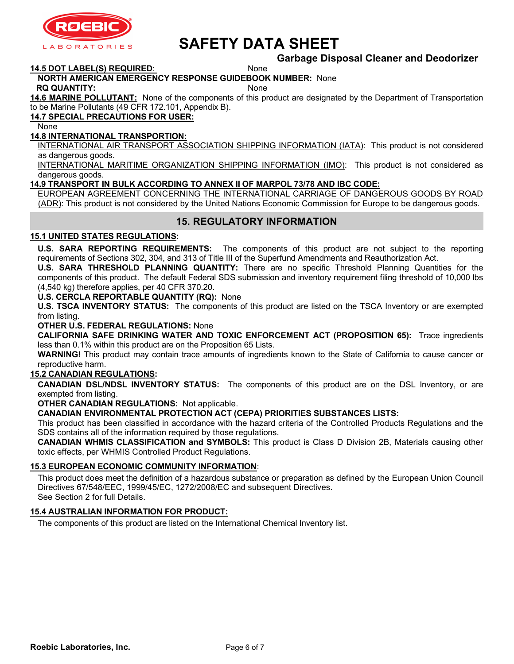

# SAFETY DATA SHEET

### Garbage Disposal Cleaner and Deodorizer

14.5 DOT LABEL(S) REQUIRED: None

#### NORTH AMERICAN EMERGENCY RESPONSE GUIDEBOOK NUMBER: None

RQ QUANTITY: None

14.6 MARINE POLLUTANT: None of the components of this product are designated by the Department of Transportation to be Marine Pollutants (49 CFR 172.101, Appendix B).

### 14.7 SPECIAL PRECAUTIONS FOR USER:

None

#### 14.8 INTERNATIONAL TRANSPORTION:

INTERNATIONAL AIR TRANSPORT ASSOCIATION SHIPPING INFORMATION (IATA): This product is not considered as dangerous goods.

INTERNATIONAL MARITIME ORGANIZATION SHIPPING INFORMATION (IMO): This product is not considered as dangerous goods.

#### 14.9 TRANSPORT IN BULK ACCORDING TO ANNEX II OF MARPOL 73/78 AND IBC CODE:

EUROPEAN AGREEMENT CONCERNING THE INTERNATIONAL CARRIAGE OF DANGEROUS GOODS BY ROAD (ADR): This product is not considered by the United Nations Economic Commission for Europe to be dangerous goods.

## 15. REGULATORY INFORMATION

#### 15.1 UNITED STATES REGULATIONS:

U.S. SARA REPORTING REQUIREMENTS: The components of this product are not subject to the reporting requirements of Sections 302, 304, and 313 of Title III of the Superfund Amendments and Reauthorization Act.

U.S. SARA THRESHOLD PLANNING QUANTITY: There are no specific Threshold Planning Quantities for the components of this product. The default Federal SDS submission and inventory requirement filing threshold of 10,000 lbs (4,540 kg) therefore applies, per 40 CFR 370.20.

#### U.S. CERCLA REPORTABLE QUANTITY (RQ): None

U.S. TSCA INVENTORY STATUS: The components of this product are listed on the TSCA Inventory or are exempted from listing.

#### OTHER U.S. FEDERAL REGULATIONS: None

CALIFORNIA SAFE DRINKING WATER AND TOXIC ENFORCEMENT ACT (PROPOSITION 65): Trace ingredients less than 0.1% within this product are on the Proposition 65 Lists.

WARNING! This product may contain trace amounts of ingredients known to the State of California to cause cancer or reproductive harm.

#### 15.2 CANADIAN REGULATIONS:

CANADIAN DSL/NDSL INVENTORY STATUS: The components of this product are on the DSL Inventory, or are exempted from listing.

OTHER CANADIAN REGULATIONS: Not applicable.

#### CANADIAN ENVIRONMENTAL PROTECTION ACT (CEPA) PRIORITIES SUBSTANCES LISTS:

This product has been classified in accordance with the hazard criteria of the Controlled Products Regulations and the SDS contains all of the information required by those regulations.

CANADIAN WHMIS CLASSIFICATION and SYMBOLS: This product is Class D Division 2B, Materials causing other toxic effects, per WHMIS Controlled Product Regulations.

#### 15.3 EUROPEAN ECONOMIC COMMUNITY INFORMATION:

This product does meet the definition of a hazardous substance or preparation as defined by the European Union Council Directives 67/548/EEC, 1999/45/EC, 1272/2008/EC and subsequent Directives. See Section 2 for full Details.

#### 15.4 AUSTRALIAN INFORMATION FOR PRODUCT:

The components of this product are listed on the International Chemical Inventory list.